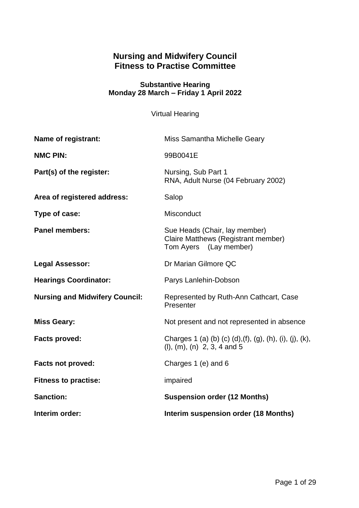# **Nursing and Midwifery Council Fitness to Practise Committee**

### **Substantive Hearing Monday 28 March – Friday 1 April 2022**

Virtual Hearing

| Name of registrant:                   | Miss Samantha Michelle Geary                                                                          |
|---------------------------------------|-------------------------------------------------------------------------------------------------------|
| <b>NMC PIN:</b>                       | 99B0041E                                                                                              |
| Part(s) of the register:              | Nursing, Sub Part 1<br>RNA, Adult Nurse (04 February 2002)                                            |
| Area of registered address:           | Salop                                                                                                 |
| Type of case:                         | Misconduct                                                                                            |
| <b>Panel members:</b>                 | Sue Heads (Chair, lay member)<br><b>Claire Matthews (Registrant member)</b><br>Tom Ayers (Lay member) |
| <b>Legal Assessor:</b>                | Dr Marian Gilmore QC                                                                                  |
| <b>Hearings Coordinator:</b>          | Parys Lanlehin-Dobson                                                                                 |
| <b>Nursing and Midwifery Council:</b> | Represented by Ruth-Ann Cathcart, Case<br>Presenter                                                   |
| <b>Miss Geary:</b>                    | Not present and not represented in absence                                                            |
| <b>Facts proved:</b>                  | Charges 1 (a) (b) (c) (d), (f), (g), (h), (i), (j), (k),<br>$(l), (m), (n)$ 2, 3, 4 and 5             |
| <b>Facts not proved:</b>              | Charges 1 (e) and 6                                                                                   |
| <b>Fitness to practise:</b>           | impaired                                                                                              |
| <b>Sanction:</b>                      | <b>Suspension order (12 Months)</b>                                                                   |
| Interim order:                        | Interim suspension order (18 Months)                                                                  |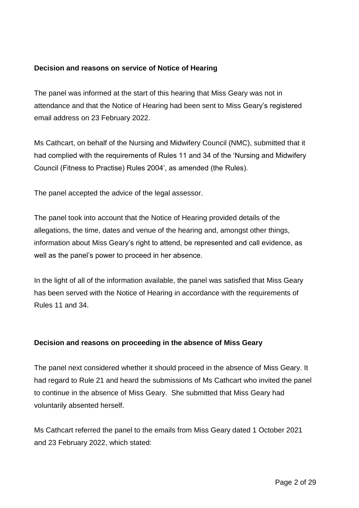## **Decision and reasons on service of Notice of Hearing**

The panel was informed at the start of this hearing that Miss Geary was not in attendance and that the Notice of Hearing had been sent to Miss Geary's registered email address on 23 February 2022.

Ms Cathcart, on behalf of the Nursing and Midwifery Council (NMC), submitted that it had complied with the requirements of Rules 11 and 34 of the 'Nursing and Midwifery Council (Fitness to Practise) Rules 2004', as amended (the Rules).

The panel accepted the advice of the legal assessor.

The panel took into account that the Notice of Hearing provided details of the allegations, the time, dates and venue of the hearing and, amongst other things, information about Miss Geary's right to attend, be represented and call evidence, as well as the panel's power to proceed in her absence.

In the light of all of the information available, the panel was satisfied that Miss Geary has been served with the Notice of Hearing in accordance with the requirements of Rules 11 and 34.

### **Decision and reasons on proceeding in the absence of Miss Geary**

The panel next considered whether it should proceed in the absence of Miss Geary. It had regard to Rule 21 and heard the submissions of Ms Cathcart who invited the panel to continue in the absence of Miss Geary. She submitted that Miss Geary had voluntarily absented herself.

Ms Cathcart referred the panel to the emails from Miss Geary dated 1 October 2021 and 23 February 2022, which stated: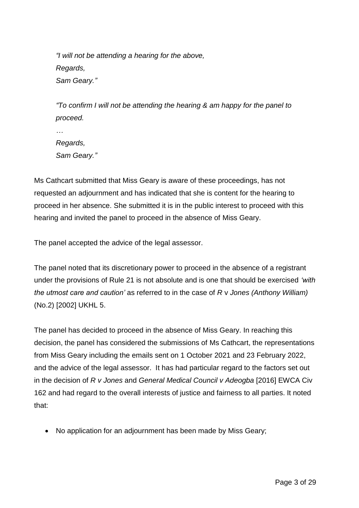*"I will not be attending a hearing for the above, Regards, Sam Geary."*

*"To confirm I will not be attending the hearing & am happy for the panel to proceed.*

*Regards, Sam Geary."*

Ms Cathcart submitted that Miss Geary is aware of these proceedings, has not requested an adjournment and has indicated that she is content for the hearing to proceed in her absence. She submitted it is in the public interest to proceed with this hearing and invited the panel to proceed in the absence of Miss Geary.

The panel accepted the advice of the legal assessor.

The panel noted that its discretionary power to proceed in the absence of a registrant under the provisions of Rule 21 is not absolute and is one that should be exercised *'with the utmost care and caution'* as referred to in the case of *R* v *Jones (Anthony William)* (No.2) [2002] UKHL 5.

The panel has decided to proceed in the absence of Miss Geary. In reaching this decision, the panel has considered the submissions of Ms Cathcart, the representations from Miss Geary including the emails sent on 1 October 2021 and 23 February 2022, and the advice of the legal assessor. It has had particular regard to the factors set out in the decision of *R v Jones* and *General Medical Council v Adeogba* [2016] EWCA Civ 162 and had regard to the overall interests of justice and fairness to all parties. It noted that:

• No application for an adjournment has been made by Miss Geary;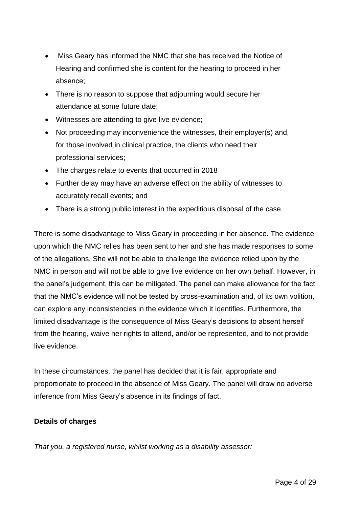- Miss Geary has informed the NMC that she has received the Notice of Hearing and confirmed she is content for the hearing to proceed in her absence;
- There is no reason to suppose that adjourning would secure her attendance at some future date;
- Witnesses are attending to give live evidence;
- Not proceeding may inconvenience the witnesses, their employer(s) and, for those involved in clinical practice, the clients who need their professional services;
- The charges relate to events that occurred in 2018
- Further delay may have an adverse effect on the ability of witnesses to accurately recall events; and
- There is a strong public interest in the expeditious disposal of the case.

There is some disadvantage to Miss Geary in proceeding in her absence. The evidence upon which the NMC relies has been sent to her and she has made responses to some of the allegations. She will not be able to challenge the evidence relied upon by the NMC in person and will not be able to give live evidence on her own behalf. However, in the panel's judgement, this can be mitigated. The panel can make allowance for the fact that the NMC's evidence will not be tested by cross-examination and, of its own volition, can explore any inconsistencies in the evidence which it identifies. Furthermore, the limited disadvantage is the consequence of Miss Geary's decisions to absent herself from the hearing, waive her rights to attend, and/or be represented, and to not provide live evidence.

In these circumstances, the panel has decided that it is fair, appropriate and proportionate to proceed in the absence of Miss Geary. The panel will draw no adverse inference from Miss Geary's absence in its findings of fact.

# **Details of charges**

*That you, a registered nurse, whilst working as a disability assessor:*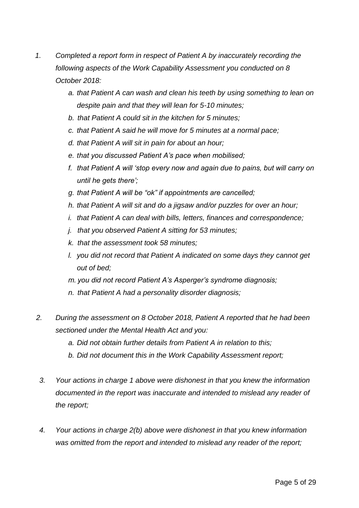- *1. Completed a report form in respect of Patient A by inaccurately recording the following aspects of the Work Capability Assessment you conducted on 8 October 2018:*
	- *a. that Patient A can wash and clean his teeth by using something to lean on despite pain and that they will lean for 5-10 minutes;*
	- *b. that Patient A could sit in the kitchen for 5 minutes;*
	- *c. that Patient A said he will move for 5 minutes at a normal pace;*
	- *d. that Patient A will sit in pain for about an hour;*
	- *e. that you discussed Patient A's pace when mobilised;*
	- *f. that Patient A will 'stop every now and again due to pains, but will carry on until he gets there';*
	- *g. that Patient A will be "ok" if appointments are cancelled;*
	- *h. that Patient A will sit and do a jigsaw and/or puzzles for over an hour;*
	- *i. that Patient A can deal with bills, letters, finances and correspondence;*
	- *j. that you observed Patient A sitting for 53 minutes;*
	- *k. that the assessment took 58 minutes;*
	- *l. you did not record that Patient A indicated on some days they cannot get out of bed;*
	- *m. you did not record Patient A's Asperger's syndrome diagnosis;*
	- *n. that Patient A had a personality disorder diagnosis;*
- *2. During the assessment on 8 October 2018, Patient A reported that he had been sectioned under the Mental Health Act and you:*
	- *a. Did not obtain further details from Patient A in relation to this;*
	- *b. Did not document this in the Work Capability Assessment report;*
	- *3. Your actions in charge 1 above were dishonest in that you knew the information documented in the report was inaccurate and intended to mislead any reader of the report;*
	- *4. Your actions in charge 2(b) above were dishonest in that you knew information was omitted from the report and intended to mislead any reader of the report;*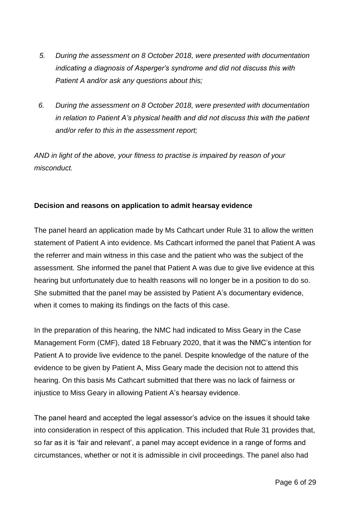- *5. During the assessment on 8 October 2018, were presented with documentation indicating a diagnosis of Asperger's syndrome and did not discuss this with Patient A and/or ask any questions about this;*
- *6. During the assessment on 8 October 2018, were presented with documentation in relation to Patient A's physical health and did not discuss this with the patient and/or refer to this in the assessment report;*

*AND in light of the above, your fitness to practise is impaired by reason of your misconduct.* 

# **Decision and reasons on application to admit hearsay evidence**

The panel heard an application made by Ms Cathcart under Rule 31 to allow the written statement of Patient A into evidence. Ms Cathcart informed the panel that Patient A was the referrer and main witness in this case and the patient who was the subject of the assessment. She informed the panel that Patient A was due to give live evidence at this hearing but unfortunately due to health reasons will no longer be in a position to do so. She submitted that the panel may be assisted by Patient A's documentary evidence, when it comes to making its findings on the facts of this case.

In the preparation of this hearing, the NMC had indicated to Miss Geary in the Case Management Form (CMF), dated 18 February 2020, that it was the NMC's intention for Patient A to provide live evidence to the panel. Despite knowledge of the nature of the evidence to be given by Patient A, Miss Geary made the decision not to attend this hearing. On this basis Ms Cathcart submitted that there was no lack of fairness or injustice to Miss Geary in allowing Patient A's hearsay evidence.

The panel heard and accepted the legal assessor's advice on the issues it should take into consideration in respect of this application. This included that Rule 31 provides that, so far as it is 'fair and relevant', a panel may accept evidence in a range of forms and circumstances, whether or not it is admissible in civil proceedings. The panel also had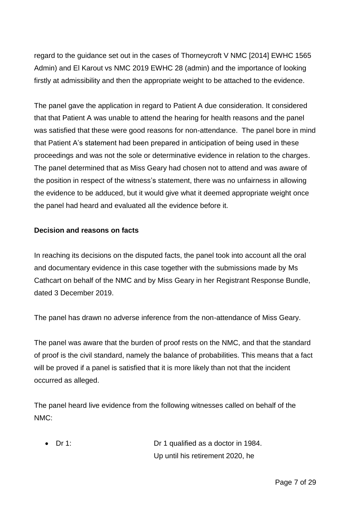regard to the guidance set out in the cases of Thorneycroft V NMC [2014] EWHC 1565 Admin) and El Karout vs NMC 2019 EWHC 28 (admin) and the importance of looking firstly at admissibility and then the appropriate weight to be attached to the evidence.

The panel gave the application in regard to Patient A due consideration. It considered that that Patient A was unable to attend the hearing for health reasons and the panel was satisfied that these were good reasons for non-attendance. The panel bore in mind that Patient A's statement had been prepared in anticipation of being used in these proceedings and was not the sole or determinative evidence in relation to the charges. The panel determined that as Miss Geary had chosen not to attend and was aware of the position in respect of the witness's statement, there was no unfairness in allowing the evidence to be adduced, but it would give what it deemed appropriate weight once the panel had heard and evaluated all the evidence before it.

### **Decision and reasons on facts**

In reaching its decisions on the disputed facts, the panel took into account all the oral and documentary evidence in this case together with the submissions made by Ms Cathcart on behalf of the NMC and by Miss Geary in her Registrant Response Bundle, dated 3 December 2019.

The panel has drawn no adverse inference from the non-attendance of Miss Geary.

The panel was aware that the burden of proof rests on the NMC, and that the standard of proof is the civil standard, namely the balance of probabilities. This means that a fact will be proved if a panel is satisfied that it is more likely than not that the incident occurred as alleged.

The panel heard live evidence from the following witnesses called on behalf of the NMC:

 Dr 1: Dr 1 qualified as a doctor in 1984. Up until his retirement 2020, he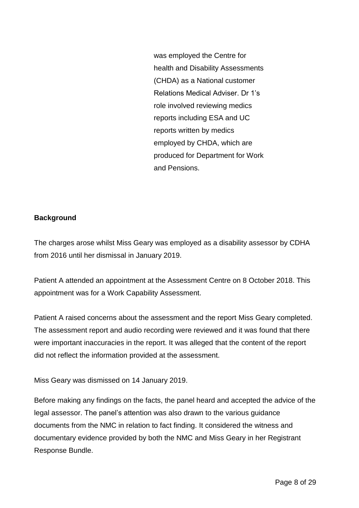was employed the Centre for health and Disability Assessments (CHDA) as a National customer Relations Medical Adviser. Dr 1's role involved reviewing medics reports including ESA and UC reports written by medics employed by CHDA, which are produced for Department for Work and Pensions.

### **Background**

The charges arose whilst Miss Geary was employed as a disability assessor by CDHA from 2016 until her dismissal in January 2019.

Patient A attended an appointment at the Assessment Centre on 8 October 2018. This appointment was for a Work Capability Assessment.

Patient A raised concerns about the assessment and the report Miss Geary completed. The assessment report and audio recording were reviewed and it was found that there were important inaccuracies in the report. It was alleged that the content of the report did not reflect the information provided at the assessment.

Miss Geary was dismissed on 14 January 2019.

Before making any findings on the facts, the panel heard and accepted the advice of the legal assessor. The panel's attention was also drawn to the various guidance documents from the NMC in relation to fact finding. It considered the witness and documentary evidence provided by both the NMC and Miss Geary in her Registrant Response Bundle.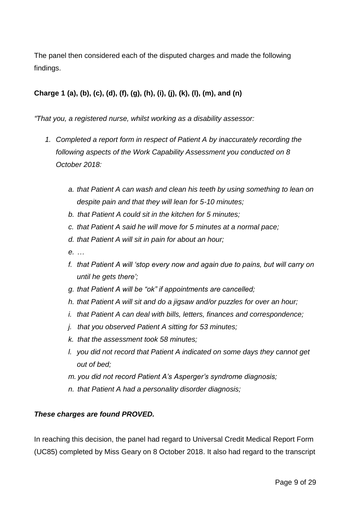The panel then considered each of the disputed charges and made the following findings.

# **Charge 1 (a), (b), (c), (d), (f), (g), (h), (i), (j), (k), (l), (m), and (n)**

*"That you, a registered nurse, whilst working as a disability assessor:*

- *1. Completed a report form in respect of Patient A by inaccurately recording the following aspects of the Work Capability Assessment you conducted on 8 October 2018:*
	- *a. that Patient A can wash and clean his teeth by using something to lean on despite pain and that they will lean for 5-10 minutes;*
	- *b. that Patient A could sit in the kitchen for 5 minutes;*
	- *c. that Patient A said he will move for 5 minutes at a normal pace;*
	- *d. that Patient A will sit in pain for about an hour;*
	- *e. …*
	- *f. that Patient A will 'stop every now and again due to pains, but will carry on until he gets there';*
	- *g. that Patient A will be "ok" if appointments are cancelled;*
	- *h. that Patient A will sit and do a jigsaw and/or puzzles for over an hour;*
	- *i. that Patient A can deal with bills, letters, finances and correspondence;*
	- *j. that you observed Patient A sitting for 53 minutes;*
	- *k. that the assessment took 58 minutes;*
	- *l. you did not record that Patient A indicated on some days they cannot get out of bed;*
	- *m. you did not record Patient A's Asperger's syndrome diagnosis;*
	- *n. that Patient A had a personality disorder diagnosis;*

# *These charges are found PROVED.*

In reaching this decision, the panel had regard to Universal Credit Medical Report Form (UC85) completed by Miss Geary on 8 October 2018. It also had regard to the transcript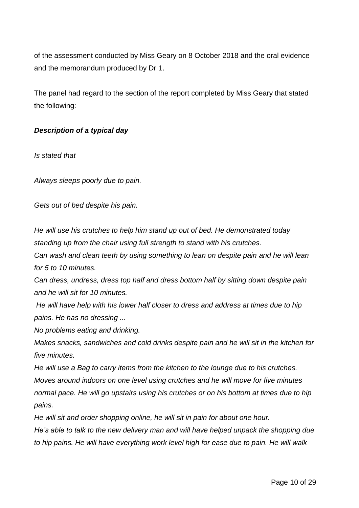of the assessment conducted by Miss Geary on 8 October 2018 and the oral evidence and the memorandum produced by Dr 1.

The panel had regard to the section of the report completed by Miss Geary that stated the following:

### *Description of a typical day*

*Is stated that*

*Always sleeps poorly due to pain.*

*Gets out of bed despite his pain.*

*He will use his crutches to help him stand up out of bed. He demonstrated today standing up from the chair using full strength to stand with his crutches.*

*Can wash and clean teeth by using something to lean on despite pain and he will lean for 5 to 10 minutes.*

*Can dress, undress, dress top half and dress bottom half by sitting down despite pain and he will sit for 10 minutes.*

*He will have help with his lower half closer to dress and address at times due to hip pains. He has no dressing ...*

*No problems eating and drinking.*

*Makes snacks, sandwiches and cold drinks despite pain and he will sit in the kitchen for five minutes.*

*He will use a Bag to carry items from the kitchen to the lounge due to his crutches. Moves around indoors on one level using crutches and he will move for five minutes normal pace. He will go upstairs using his crutches or on his bottom at times due to hip pains.*

*He will sit and order shopping online, he will sit in pain for about one hour.*

*He's able to talk to the new delivery man and will have helped unpack the shopping due to hip pains. He will have everything work level high for ease due to pain. He will walk*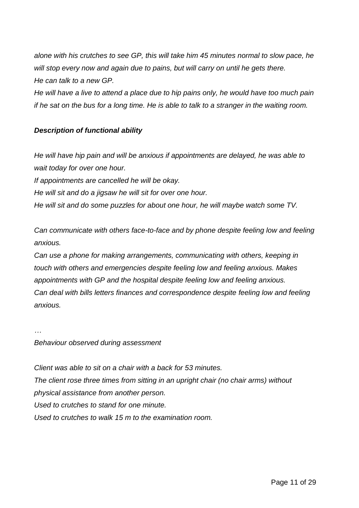*alone with his crutches to see GP, this will take him 45 minutes normal to slow pace, he will stop every now and again due to pains, but will carry on until he gets there. He can talk to a new GP.*

*He will have a live to attend a place due to hip pains only, he would have too much pain if he sat on the bus for a long time. He is able to talk to a stranger in the waiting room.*

## *Description of functional ability*

*He will have hip pain and will be anxious if appointments are delayed, he was able to wait today for over one hour. If appointments are cancelled he will be okay. He will sit and do a jigsaw he will sit for over one hour.*

*He will sit and do some puzzles for about one hour, he will maybe watch some TV.*

*Can communicate with others face-to-face and by phone despite feeling low and feeling anxious.*

*Can use a phone for making arrangements, communicating with others, keeping in touch with others and emergencies despite feeling low and feeling anxious. Makes appointments with GP and the hospital despite feeling low and feeling anxious. Can deal with bills letters finances and correspondence despite feeling low and feeling anxious.*

*… Behaviour observed during assessment*

*Client was able to sit on a chair with a back for 53 minutes. The client rose three times from sitting in an upright chair (no chair arms) without physical assistance from another person. Used to crutches to stand for one minute. Used to crutches to walk 15 m to the examination room.*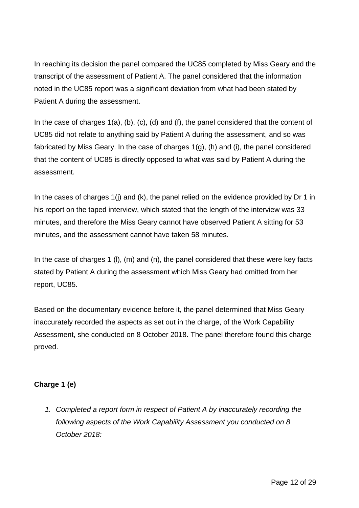In reaching its decision the panel compared the UC85 completed by Miss Geary and the transcript of the assessment of Patient A. The panel considered that the information noted in the UC85 report was a significant deviation from what had been stated by Patient A during the assessment.

In the case of charges 1(a), (b), (c), (d) and (f), the panel considered that the content of UC85 did not relate to anything said by Patient A during the assessment, and so was fabricated by Miss Geary. In the case of charges 1(g), (h) and (i), the panel considered that the content of UC85 is directly opposed to what was said by Patient A during the assessment.

In the cases of charges 1(i) and (k), the panel relied on the evidence provided by Dr 1 in his report on the taped interview, which stated that the length of the interview was 33 minutes, and therefore the Miss Geary cannot have observed Patient A sitting for 53 minutes, and the assessment cannot have taken 58 minutes.

In the case of charges 1 (I), (m) and (n), the panel considered that these were key facts stated by Patient A during the assessment which Miss Geary had omitted from her report, UC85.

Based on the documentary evidence before it, the panel determined that Miss Geary inaccurately recorded the aspects as set out in the charge, of the Work Capability Assessment, she conducted on 8 October 2018. The panel therefore found this charge proved.

# **Charge 1 (e)**

*1. Completed a report form in respect of Patient A by inaccurately recording the following aspects of the Work Capability Assessment you conducted on 8 October 2018:*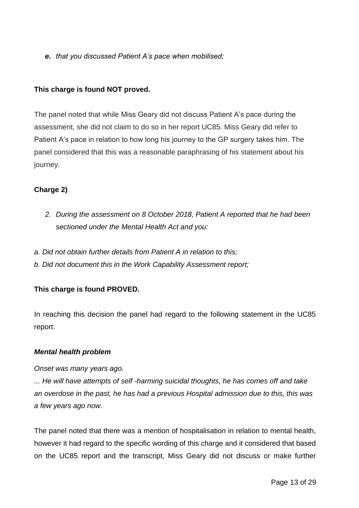*e. that you discussed Patient A's pace when mobilised;* 

### **This charge is found NOT proved.**

The panel noted that while Miss Geary did not discuss Patient A's pace during the assessment, she did not claim to do so in her report UC85. Miss Geary did refer to Patient A's pace in relation to how long his journey to the GP surgery takes him. The panel considered that this was a reasonable paraphrasing of his statement about his journey.

# **Charge 2)**

- *2. During the assessment on 8 October 2018, Patient A reported that he had been sectioned under the Mental Health Act and you:*
- *a. Did not obtain further details from Patient A in relation to this;*
- *b. Did not document this in the Work Capability Assessment report;*

# **This charge is found PROVED.**

In reaching this decision the panel had regard to the following statement in the UC85 report:

### *Mental health problem*

#### *Onset was many years ago.*

*... He will have attempts of self -harming suicidal thoughts, he has comes off and take an overdose in the past, he has had a previous Hospital admission due to this, this was a few years ago now.*

The panel noted that there was a mention of hospitalisation in relation to mental health, however it had regard to the specific wording of this charge and it considered that based on the UC85 report and the transcript, Miss Geary did not discuss or make further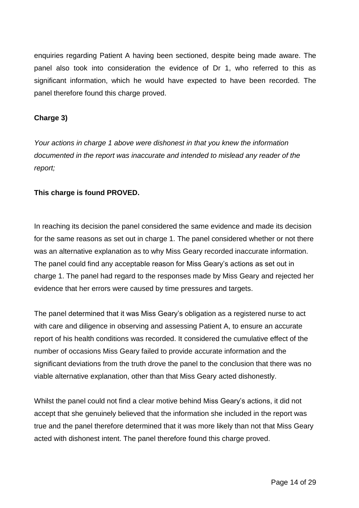enquiries regarding Patient A having been sectioned, despite being made aware. The panel also took into consideration the evidence of Dr 1, who referred to this as significant information, which he would have expected to have been recorded. The panel therefore found this charge proved.

### **Charge 3)**

*Your actions in charge 1 above were dishonest in that you knew the information documented in the report was inaccurate and intended to mislead any reader of the report;*

### **This charge is found PROVED.**

In reaching its decision the panel considered the same evidence and made its decision for the same reasons as set out in charge 1. The panel considered whether or not there was an alternative explanation as to why Miss Geary recorded inaccurate information. The panel could find any acceptable reason for Miss Geary's actions as set out in charge 1. The panel had regard to the responses made by Miss Geary and rejected her evidence that her errors were caused by time pressures and targets.

The panel determined that it was Miss Geary's obligation as a registered nurse to act with care and diligence in observing and assessing Patient A, to ensure an accurate report of his health conditions was recorded. It considered the cumulative effect of the number of occasions Miss Geary failed to provide accurate information and the significant deviations from the truth drove the panel to the conclusion that there was no viable alternative explanation, other than that Miss Geary acted dishonestly.

Whilst the panel could not find a clear motive behind Miss Geary's actions, it did not accept that she genuinely believed that the information she included in the report was true and the panel therefore determined that it was more likely than not that Miss Geary acted with dishonest intent. The panel therefore found this charge proved.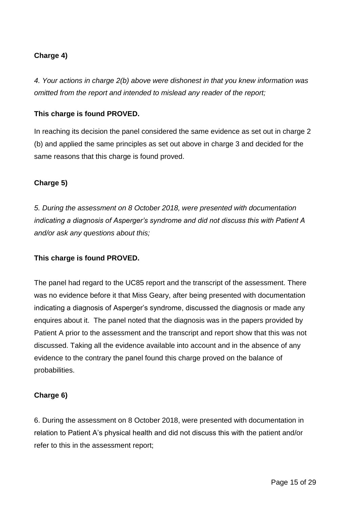# **Charge 4)**

*4. Your actions in charge 2(b) above were dishonest in that you knew information was omitted from the report and intended to mislead any reader of the report;* 

## **This charge is found PROVED.**

In reaching its decision the panel considered the same evidence as set out in charge 2 (b) and applied the same principles as set out above in charge 3 and decided for the same reasons that this charge is found proved.

### **Charge 5)**

*5. During the assessment on 8 October 2018, were presented with documentation indicating a diagnosis of Asperger's syndrome and did not discuss this with Patient A and/or ask any questions about this;* 

### **This charge is found PROVED.**

The panel had regard to the UC85 report and the transcript of the assessment. There was no evidence before it that Miss Geary, after being presented with documentation indicating a diagnosis of Asperger's syndrome, discussed the diagnosis or made any enquires about it. The panel noted that the diagnosis was in the papers provided by Patient A prior to the assessment and the transcript and report show that this was not discussed. Taking all the evidence available into account and in the absence of any evidence to the contrary the panel found this charge proved on the balance of probabilities.

### **Charge 6)**

6. During the assessment on 8 October 2018, were presented with documentation in relation to Patient A's physical health and did not discuss this with the patient and/or refer to this in the assessment report;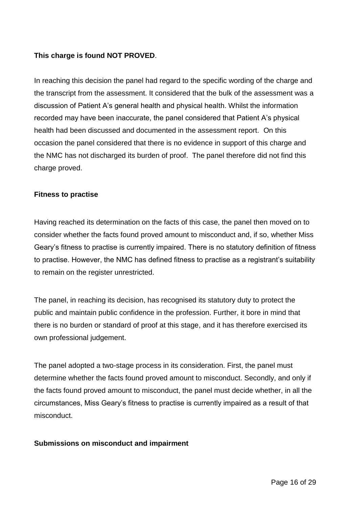## **This charge is found NOT PROVED**.

In reaching this decision the panel had regard to the specific wording of the charge and the transcript from the assessment. It considered that the bulk of the assessment was a discussion of Patient A's general health and physical health. Whilst the information recorded may have been inaccurate, the panel considered that Patient A's physical health had been discussed and documented in the assessment report. On this occasion the panel considered that there is no evidence in support of this charge and the NMC has not discharged its burden of proof. The panel therefore did not find this charge proved.

#### **Fitness to practise**

Having reached its determination on the facts of this case, the panel then moved on to consider whether the facts found proved amount to misconduct and, if so, whether Miss Geary's fitness to practise is currently impaired. There is no statutory definition of fitness to practise. However, the NMC has defined fitness to practise as a registrant's suitability to remain on the register unrestricted.

The panel, in reaching its decision, has recognised its statutory duty to protect the public and maintain public confidence in the profession. Further, it bore in mind that there is no burden or standard of proof at this stage, and it has therefore exercised its own professional judgement.

The panel adopted a two-stage process in its consideration. First, the panel must determine whether the facts found proved amount to misconduct. Secondly, and only if the facts found proved amount to misconduct, the panel must decide whether, in all the circumstances, Miss Geary's fitness to practise is currently impaired as a result of that misconduct.

### **Submissions on misconduct and impairment**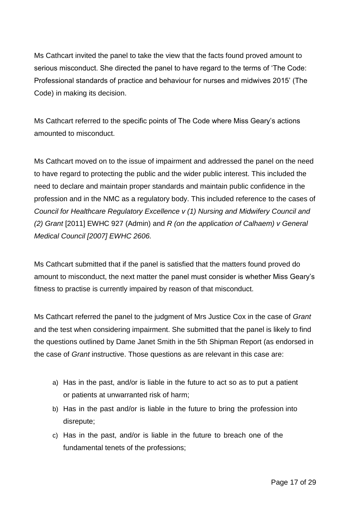Ms Cathcart invited the panel to take the view that the facts found proved amount to serious misconduct. She directed the panel to have regard to the terms of 'The Code: Professional standards of practice and behaviour for nurses and midwives 2015' (The Code) in making its decision.

Ms Cathcart referred to the specific points of The Code where Miss Geary's actions amounted to misconduct.

Ms Cathcart moved on to the issue of impairment and addressed the panel on the need to have regard to protecting the public and the wider public interest. This included the need to declare and maintain proper standards and maintain public confidence in the profession and in the NMC as a regulatory body. This included reference to the cases of *Council for Healthcare Regulatory Excellence v (1) Nursing and Midwifery Council and (2) Grant* [2011] EWHC 927 (Admin) and *R (on the application of Calhaem) v General Medical Council [2007] EWHC 2606.*

Ms Cathcart submitted that if the panel is satisfied that the matters found proved do amount to misconduct, the next matter the panel must consider is whether Miss Geary's fitness to practise is currently impaired by reason of that misconduct.

Ms Cathcart referred the panel to the judgment of Mrs Justice Cox in the case of *Grant*  and the test when considering impairment. She submitted that the panel is likely to find the questions outlined by Dame Janet Smith in the 5th Shipman Report (as endorsed in the case of *Grant* instructive. Those questions as are relevant in this case are:

- a) Has in the past, and/or is liable in the future to act so as to put a patient or patients at unwarranted risk of harm;
- b) Has in the past and/or is liable in the future to bring the profession into disrepute;
- c) Has in the past, and/or is liable in the future to breach one of the fundamental tenets of the professions;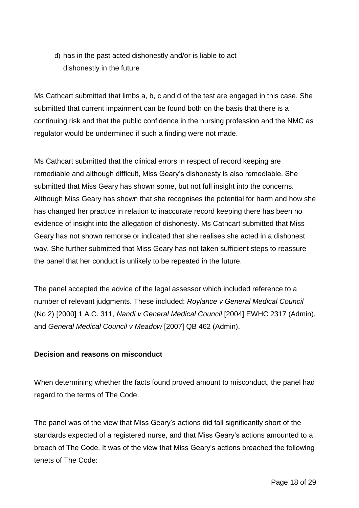d) has in the past acted dishonestly and/or is liable to act dishonestly in the future

Ms Cathcart submitted that limbs a, b, c and d of the test are engaged in this case. She submitted that current impairment can be found both on the basis that there is a continuing risk and that the public confidence in the nursing profession and the NMC as regulator would be undermined if such a finding were not made.

Ms Cathcart submitted that the clinical errors in respect of record keeping are remediable and although difficult, Miss Geary's dishonesty is also remediable. She submitted that Miss Geary has shown some, but not full insight into the concerns. Although Miss Geary has shown that she recognises the potential for harm and how she has changed her practice in relation to inaccurate record keeping there has been no evidence of insight into the allegation of dishonesty. Ms Cathcart submitted that Miss Geary has not shown remorse or indicated that she realises she acted in a dishonest way. She further submitted that Miss Geary has not taken sufficient steps to reassure the panel that her conduct is unlikely to be repeated in the future.

The panel accepted the advice of the legal assessor which included reference to a number of relevant judgments. These included: *Roylance v General Medical Council*  (No 2) [2000] 1 A.C. 311, *Nandi v General Medical Council* [2004] EWHC 2317 (Admin), and *General Medical Council v Meadow* [2007] QB 462 (Admin).

# **Decision and reasons on misconduct**

When determining whether the facts found proved amount to misconduct, the panel had regard to the terms of The Code.

The panel was of the view that Miss Geary's actions did fall significantly short of the standards expected of a registered nurse, and that Miss Geary's actions amounted to a breach of The Code. It was of the view that Miss Geary's actions breached the following tenets of The Code: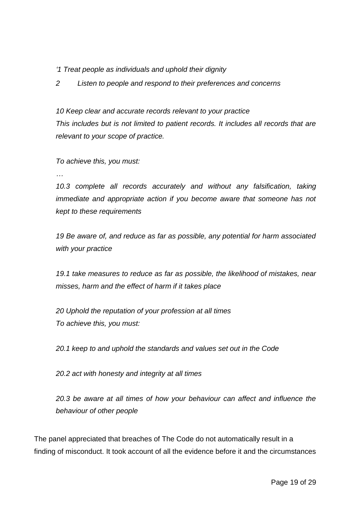*'1 Treat people as individuals and uphold their dignity*

*2 Listen to people and respond to their preferences and concerns*

*10 Keep clear and accurate records relevant to your practice This includes but is not limited to patient records. It includes all records that are relevant to your scope of practice.* 

*To achieve this, you must:*

*…*

*10.3 complete all records accurately and without any falsification, taking immediate and appropriate action if you become aware that someone has not kept to these requirements*

*19 Be aware of, and reduce as far as possible, any potential for harm associated with your practice*

*19.1 take measures to reduce as far as possible, the likelihood of mistakes, near misses, harm and the effect of harm if it takes place*

*20 Uphold the reputation of your profession at all times To achieve this, you must:*

*20.1 keep to and uphold the standards and values set out in the Code*

*20.2 act with honesty and integrity at all times*

*20.3 be aware at all times of how your behaviour can affect and influence the behaviour of other people*

The panel appreciated that breaches of The Code do not automatically result in a finding of misconduct. It took account of all the evidence before it and the circumstances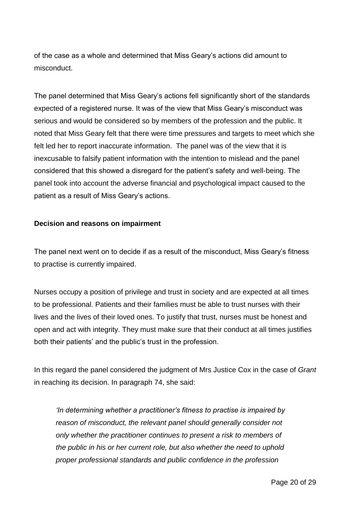of the case as a whole and determined that Miss Geary's actions did amount to misconduct.

The panel determined that Miss Geary's actions fell significantly short of the standards expected of a registered nurse. It was of the view that Miss Geary's misconduct was serious and would be considered so by members of the profession and the public. It noted that Miss Geary felt that there were time pressures and targets to meet which she felt led her to report inaccurate information. The panel was of the view that it is inexcusable to falsify patient information with the intention to mislead and the panel considered that this showed a disregard for the patient's safety and well-being. The panel took into account the adverse financial and psychological impact caused to the patient as a result of Miss Geary's actions.

### **Decision and reasons on impairment**

The panel next went on to decide if as a result of the misconduct, Miss Geary's fitness to practise is currently impaired.

Nurses occupy a position of privilege and trust in society and are expected at all times to be professional. Patients and their families must be able to trust nurses with their lives and the lives of their loved ones. To justify that trust, nurses must be honest and open and act with integrity. They must make sure that their conduct at all times justifies both their patients' and the public's trust in the profession.

In this regard the panel considered the judgment of Mrs Justice Cox in the case of *Grant* in reaching its decision. In paragraph 74, she said:

*'In determining whether a practitioner's fitness to practise is impaired by reason of misconduct, the relevant panel should generally consider not only whether the practitioner continues to present a risk to members of the public in his or her current role, but also whether the need to uphold proper professional standards and public confidence in the profession*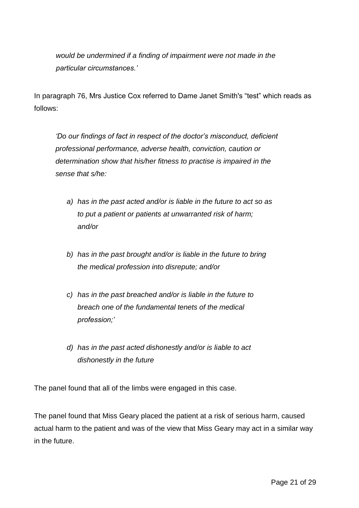*would be undermined if a finding of impairment were not made in the particular circumstances.'*

In paragraph 76, Mrs Justice Cox referred to Dame Janet Smith's "test" which reads as follows:

*'Do our findings of fact in respect of the doctor's misconduct, deficient professional performance, adverse health, conviction, caution or determination show that his/her fitness to practise is impaired in the sense that s/he:*

- *a) has in the past acted and/or is liable in the future to act so as to put a patient or patients at unwarranted risk of harm; and/or*
- *b) has in the past brought and/or is liable in the future to bring the medical profession into disrepute; and/or*
- *c) has in the past breached and/or is liable in the future to breach one of the fundamental tenets of the medical profession;'*
- *d) has in the past acted dishonestly and/or is liable to act dishonestly in the future*

The panel found that all of the limbs were engaged in this case.

The panel found that Miss Geary placed the patient at a risk of serious harm, caused actual harm to the patient and was of the view that Miss Geary may act in a similar way in the future.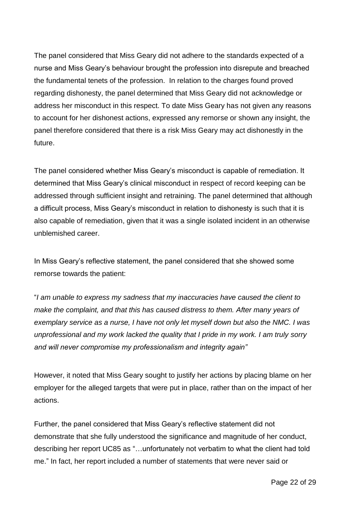The panel considered that Miss Geary did not adhere to the standards expected of a nurse and Miss Geary's behaviour brought the profession into disrepute and breached the fundamental tenets of the profession. In relation to the charges found proved regarding dishonesty, the panel determined that Miss Geary did not acknowledge or address her misconduct in this respect. To date Miss Geary has not given any reasons to account for her dishonest actions, expressed any remorse or shown any insight, the panel therefore considered that there is a risk Miss Geary may act dishonestly in the future.

The panel considered whether Miss Geary's misconduct is capable of remediation. It determined that Miss Geary's clinical misconduct in respect of record keeping can be addressed through sufficient insight and retraining. The panel determined that although a difficult process, Miss Geary's misconduct in relation to dishonesty is such that it is also capable of remediation, given that it was a single isolated incident in an otherwise unblemished career.

In Miss Geary's reflective statement, the panel considered that she showed some remorse towards the patient:

"*I am unable to express my sadness that my inaccuracies have caused the client to make the complaint, and that this has caused distress to them. After many years of exemplary service as a nurse, I have not only let myself down but also the NMC. I was unprofessional and my work lacked the quality that I pride in my work. I am truly sorry and will never compromise my professionalism and integrity again"*

However, it noted that Miss Geary sought to justify her actions by placing blame on her employer for the alleged targets that were put in place, rather than on the impact of her actions.

Further, the panel considered that Miss Geary's reflective statement did not demonstrate that she fully understood the significance and magnitude of her conduct, describing her report UC85 as "…unfortunately not verbatim to what the client had told me." In fact, her report included a number of statements that were never said or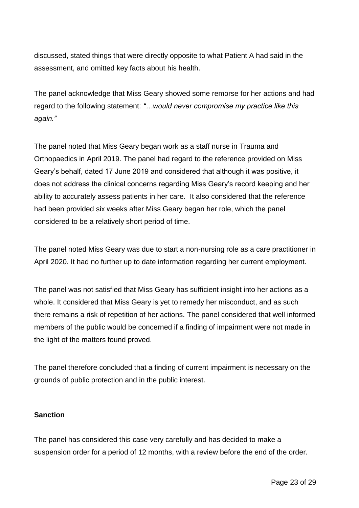discussed, stated things that were directly opposite to what Patient A had said in the assessment, and omitted key facts about his health.

The panel acknowledge that Miss Geary showed some remorse for her actions and had regard to the following statement: *"…would never compromise my practice like this again."*

The panel noted that Miss Geary began work as a staff nurse in Trauma and Orthopaedics in April 2019. The panel had regard to the reference provided on Miss Geary's behalf, dated 17 June 2019 and considered that although it was positive, it does not address the clinical concerns regarding Miss Geary's record keeping and her ability to accurately assess patients in her care. It also considered that the reference had been provided six weeks after Miss Geary began her role, which the panel considered to be a relatively short period of time.

The panel noted Miss Geary was due to start a non-nursing role as a care practitioner in April 2020. It had no further up to date information regarding her current employment.

The panel was not satisfied that Miss Geary has sufficient insight into her actions as a whole. It considered that Miss Geary is yet to remedy her misconduct, and as such there remains a risk of repetition of her actions. The panel considered that well informed members of the public would be concerned if a finding of impairment were not made in the light of the matters found proved.

The panel therefore concluded that a finding of current impairment is necessary on the grounds of public protection and in the public interest.

# **Sanction**

The panel has considered this case very carefully and has decided to make a suspension order for a period of 12 months, with a review before the end of the order.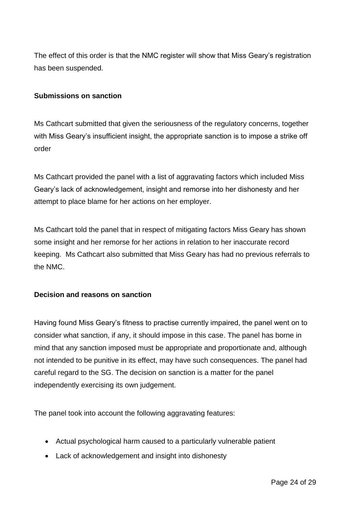The effect of this order is that the NMC register will show that Miss Geary's registration has been suspended.

### **Submissions on sanction**

Ms Cathcart submitted that given the seriousness of the regulatory concerns, together with Miss Geary's insufficient insight, the appropriate sanction is to impose a strike off order

Ms Cathcart provided the panel with a list of aggravating factors which included Miss Geary's lack of acknowledgement, insight and remorse into her dishonesty and her attempt to place blame for her actions on her employer.

Ms Cathcart told the panel that in respect of mitigating factors Miss Geary has shown some insight and her remorse for her actions in relation to her inaccurate record keeping. Ms Cathcart also submitted that Miss Geary has had no previous referrals to the NMC.

# **Decision and reasons on sanction**

Having found Miss Geary's fitness to practise currently impaired, the panel went on to consider what sanction, if any, it should impose in this case. The panel has borne in mind that any sanction imposed must be appropriate and proportionate and, although not intended to be punitive in its effect, may have such consequences. The panel had careful regard to the SG. The decision on sanction is a matter for the panel independently exercising its own judgement.

The panel took into account the following aggravating features:

- Actual psychological harm caused to a particularly vulnerable patient
- Lack of acknowledgement and insight into dishonesty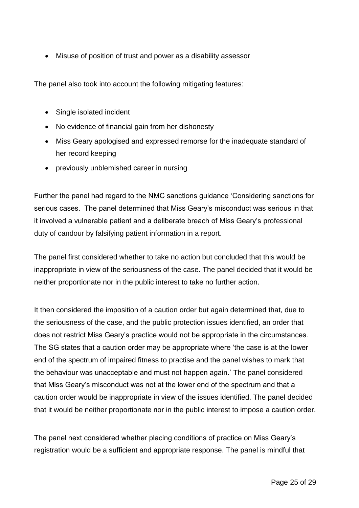Misuse of position of trust and power as a disability assessor

The panel also took into account the following mitigating features:

- Single isolated incident
- No evidence of financial gain from her dishonesty
- Miss Geary apologised and expressed remorse for the inadequate standard of her record keeping
- previously unblemished career in nursing

Further the panel had regard to the NMC sanctions guidance 'Considering sanctions for serious cases. The panel determined that Miss Geary's misconduct was serious in that it involved a vulnerable patient and a deliberate breach of Miss Geary's professional duty of candour by falsifying patient information in a report.

The panel first considered whether to take no action but concluded that this would be inappropriate in view of the seriousness of the case. The panel decided that it would be neither proportionate nor in the public interest to take no further action.

It then considered the imposition of a caution order but again determined that, due to the seriousness of the case, and the public protection issues identified, an order that does not restrict Miss Geary's practice would not be appropriate in the circumstances. The SG states that a caution order may be appropriate where 'the case is at the lower end of the spectrum of impaired fitness to practise and the panel wishes to mark that the behaviour was unacceptable and must not happen again.' The panel considered that Miss Geary's misconduct was not at the lower end of the spectrum and that a caution order would be inappropriate in view of the issues identified. The panel decided that it would be neither proportionate nor in the public interest to impose a caution order.

The panel next considered whether placing conditions of practice on Miss Geary's registration would be a sufficient and appropriate response. The panel is mindful that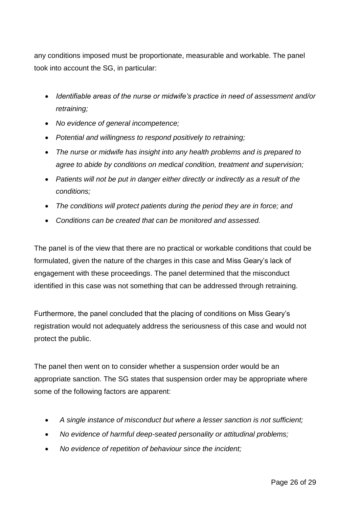any conditions imposed must be proportionate, measurable and workable. The panel took into account the SG, in particular:

- *Identifiable areas of the nurse or midwife's practice in need of assessment and/or retraining;*
- *No evidence of general incompetence;*
- *Potential and willingness to respond positively to retraining;*
- *The nurse or midwife has insight into any health problems and is prepared to agree to abide by conditions on medical condition, treatment and supervision;*
- *Patients will not be put in danger either directly or indirectly as a result of the conditions;*
- *The conditions will protect patients during the period they are in force; and*
- *Conditions can be created that can be monitored and assessed.*

The panel is of the view that there are no practical or workable conditions that could be formulated, given the nature of the charges in this case and Miss Geary's lack of engagement with these proceedings. The panel determined that the misconduct identified in this case was not something that can be addressed through retraining.

Furthermore, the panel concluded that the placing of conditions on Miss Geary's registration would not adequately address the seriousness of this case and would not protect the public.

The panel then went on to consider whether a suspension order would be an appropriate sanction. The SG states that suspension order may be appropriate where some of the following factors are apparent:

- *A single instance of misconduct but where a lesser sanction is not sufficient;*
- *No evidence of harmful deep-seated personality or attitudinal problems;*
- *No evidence of repetition of behaviour since the incident;*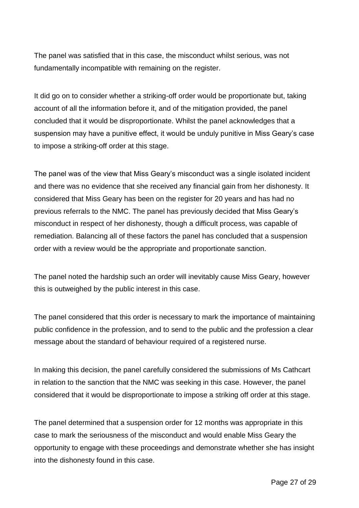The panel was satisfied that in this case, the misconduct whilst serious, was not fundamentally incompatible with remaining on the register.

It did go on to consider whether a striking-off order would be proportionate but, taking account of all the information before it, and of the mitigation provided, the panel concluded that it would be disproportionate. Whilst the panel acknowledges that a suspension may have a punitive effect, it would be unduly punitive in Miss Geary's case to impose a striking-off order at this stage.

The panel was of the view that Miss Geary's misconduct was a single isolated incident and there was no evidence that she received any financial gain from her dishonesty. It considered that Miss Geary has been on the register for 20 years and has had no previous referrals to the NMC. The panel has previously decided that Miss Geary's misconduct in respect of her dishonesty, though a difficult process, was capable of remediation. Balancing all of these factors the panel has concluded that a suspension order with a review would be the appropriate and proportionate sanction.

The panel noted the hardship such an order will inevitably cause Miss Geary, however this is outweighed by the public interest in this case.

The panel considered that this order is necessary to mark the importance of maintaining public confidence in the profession, and to send to the public and the profession a clear message about the standard of behaviour required of a registered nurse.

In making this decision, the panel carefully considered the submissions of Ms Cathcart in relation to the sanction that the NMC was seeking in this case. However, the panel considered that it would be disproportionate to impose a striking off order at this stage.

The panel determined that a suspension order for 12 months was appropriate in this case to mark the seriousness of the misconduct and would enable Miss Geary the opportunity to engage with these proceedings and demonstrate whether she has insight into the dishonesty found in this case.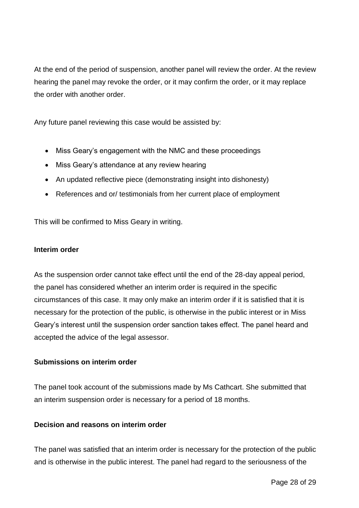At the end of the period of suspension, another panel will review the order. At the review hearing the panel may revoke the order, or it may confirm the order, or it may replace the order with another order.

Any future panel reviewing this case would be assisted by:

- Miss Geary's engagement with the NMC and these proceedings
- Miss Geary's attendance at any review hearing
- An updated reflective piece (demonstrating insight into dishonesty)
- References and or/ testimonials from her current place of employment

This will be confirmed to Miss Geary in writing.

### **Interim order**

As the suspension order cannot take effect until the end of the 28-day appeal period, the panel has considered whether an interim order is required in the specific circumstances of this case. It may only make an interim order if it is satisfied that it is necessary for the protection of the public, is otherwise in the public interest or in Miss Geary's interest until the suspension order sanction takes effect. The panel heard and accepted the advice of the legal assessor.

### **Submissions on interim order**

The panel took account of the submissions made by Ms Cathcart. She submitted that an interim suspension order is necessary for a period of 18 months.

### **Decision and reasons on interim order**

The panel was satisfied that an interim order is necessary for the protection of the public and is otherwise in the public interest. The panel had regard to the seriousness of the